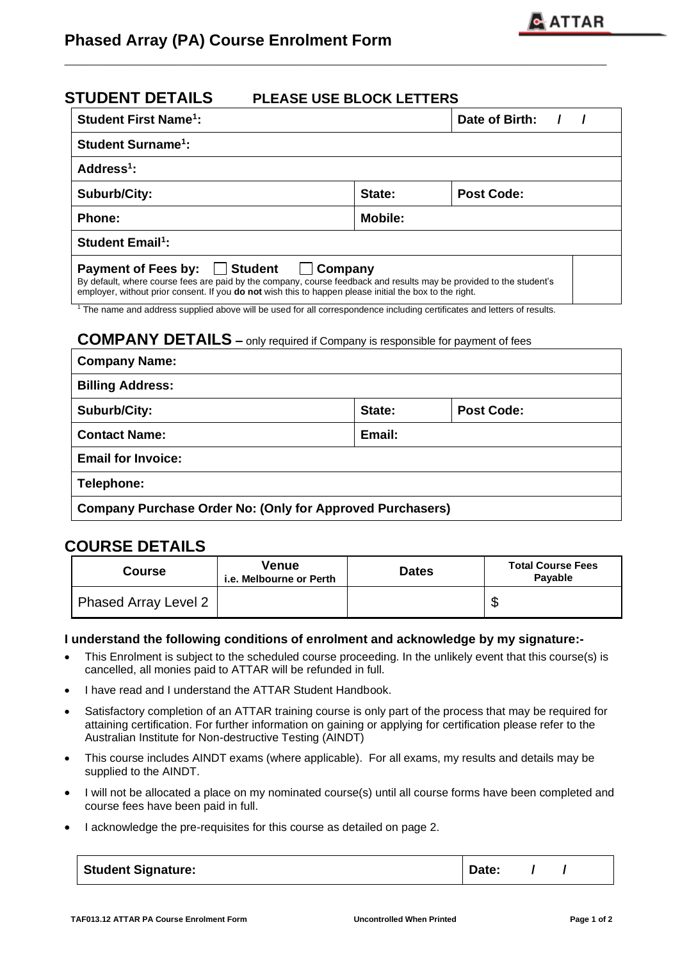## **STUDENT DETAILS PLEASE USE BLOCK LETTERS**

| <b>Student First Name<sup>1</sup>:</b>                                                                                                                                                                                                                                                           |                      | Date of Birth: |  |  |  |  |
|--------------------------------------------------------------------------------------------------------------------------------------------------------------------------------------------------------------------------------------------------------------------------------------------------|----------------------|----------------|--|--|--|--|
| <b>Student Surname<sup>1</sup>:</b>                                                                                                                                                                                                                                                              |                      |                |  |  |  |  |
| Address <sup>1</sup> :                                                                                                                                                                                                                                                                           |                      |                |  |  |  |  |
| Suburb/City:                                                                                                                                                                                                                                                                                     | Post Code:<br>State: |                |  |  |  |  |
| Phone:                                                                                                                                                                                                                                                                                           | Mobile:              |                |  |  |  |  |
| <b>Student Email<sup>1</sup>:</b>                                                                                                                                                                                                                                                                |                      |                |  |  |  |  |
| <b>Student</b><br><b>Payment of Fees by:</b><br>Company<br>By default, where course fees are paid by the company, course feedback and results may be provided to the student's<br>employer, without prior consent. If you <b>do not</b> wish this to happen please initial the box to the right. |                      |                |  |  |  |  |

**\_\_\_\_\_\_\_\_\_\_\_\_\_\_\_\_\_\_\_\_\_\_\_\_\_\_\_\_\_\_\_\_\_\_\_\_\_\_\_\_\_\_\_\_\_\_\_\_\_\_\_\_\_\_\_\_\_\_\_\_\_**

<sup>1</sup> The name and address supplied above will be used for all correspondence including certificates and letters of results.

### **COMPANY DETAILS –** only required if Company is responsible for payment of fees

| <b>Company Name:</b>                                             |        |                   |  |  |
|------------------------------------------------------------------|--------|-------------------|--|--|
| <b>Billing Address:</b>                                          |        |                   |  |  |
| Suburb/City:                                                     | State: | <b>Post Code:</b> |  |  |
| <b>Contact Name:</b>                                             | Email: |                   |  |  |
| <b>Email for Invoice:</b>                                        |        |                   |  |  |
| Telephone:                                                       |        |                   |  |  |
| <b>Company Purchase Order No: (Only for Approved Purchasers)</b> |        |                   |  |  |

## **COURSE DETAILS**

| <b>Course</b>               | Venue<br>i.e. Melbourne or Perth | <b>Dates</b> | <b>Total Course Fees</b><br><b>Pavable</b> |
|-----------------------------|----------------------------------|--------------|--------------------------------------------|
| <b>Phased Array Level 2</b> |                                  |              | ╓<br>Œ                                     |

#### **I understand the following conditions of enrolment and acknowledge by my signature:-**

- This Enrolment is subject to the scheduled course proceeding. In the unlikely event that this course(s) is cancelled, all monies paid to ATTAR will be refunded in full.
- I have read and I understand the ATTAR Student Handbook.
- Satisfactory completion of an ATTAR training course is only part of the process that may be required for attaining certification. For further information on gaining or applying for certification please refer to the Australian Institute for Non-destructive Testing (AINDT)
- This course includes AINDT exams (where applicable). For all exams, my results and details may be supplied to the AINDT.
- I will not be allocated a place on my nominated course(s) until all course forms have been completed and course fees have been paid in full.
- I acknowledge the pre-requisites for this course as detailed on page 2.

| <b>Student Signature:</b> | Date: |
|---------------------------|-------|
|---------------------------|-------|